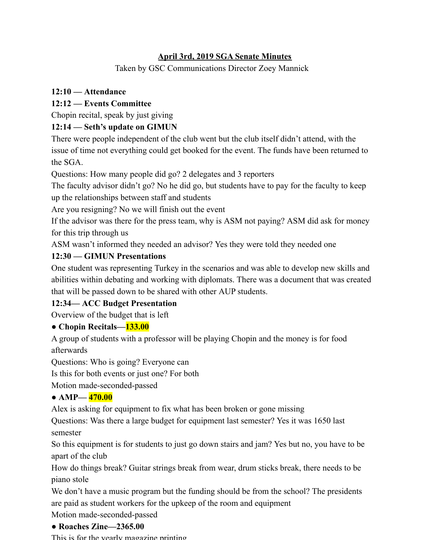## **April 3rd, 2019 SGA Senate Minutes**

Taken by GSC Communications Director Zoey Mannick

## **12:10 — Attendance**

# **12:12 — Events Committee**

Chopin recital, speak by just giving

## **12:14 — Seth's update on GIMUN**

There were people independent of the club went but the club itself didn't attend, with the issue of time not everything could get booked for the event. The funds have been returned to the SGA.

Questions: How many people did go? 2 delegates and 3 reporters

The faculty advisor didn't go? No he did go, but students have to pay for the faculty to keep up the relationships between staff and students

Are you resigning? No we will finish out the event

If the advisor was there for the press team, why is ASM not paying? ASM did ask for money for this trip through us

ASM wasn't informed they needed an advisor? Yes they were told they needed one

## **12:30 — GIMUN Presentations**

One student was representing Turkey in the scenarios and was able to develop new skills and abilities within debating and working with diplomats. There was a document that was created that will be passed down to be shared with other AUP students.

# **12:34— ACC Budget Presentation**

Overview of the budget that is left

# **● Chopin Recitals—133.00**

A group of students with a professor will be playing Chopin and the money is for food afterwards

Questions: Who is going? Everyone can

Is this for both events or just one? For both

Motion made-seconded-passed

#### **● AMP— 470.00**

Alex is asking for equipment to fix what has been broken or gone missing

Questions: Was there a large budget for equipment last semester? Yes it was 1650 last semester

So this equipment is for students to just go down stairs and jam? Yes but no, you have to be apart of the club

How do things break? Guitar strings break from wear, drum sticks break, there needs to be piano stole

We don't have a music program but the funding should be from the school? The presidents are paid as student workers for the upkeep of the room and equipment

Motion made-seconded-passed

#### **● Roaches Zine—2365.00**

This is for the yearly magazine printing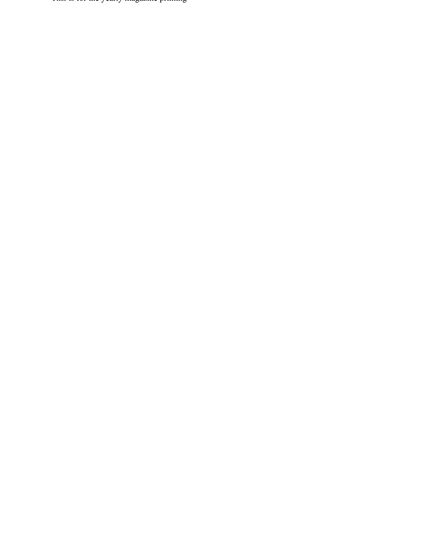This is for the yearly magazine printing